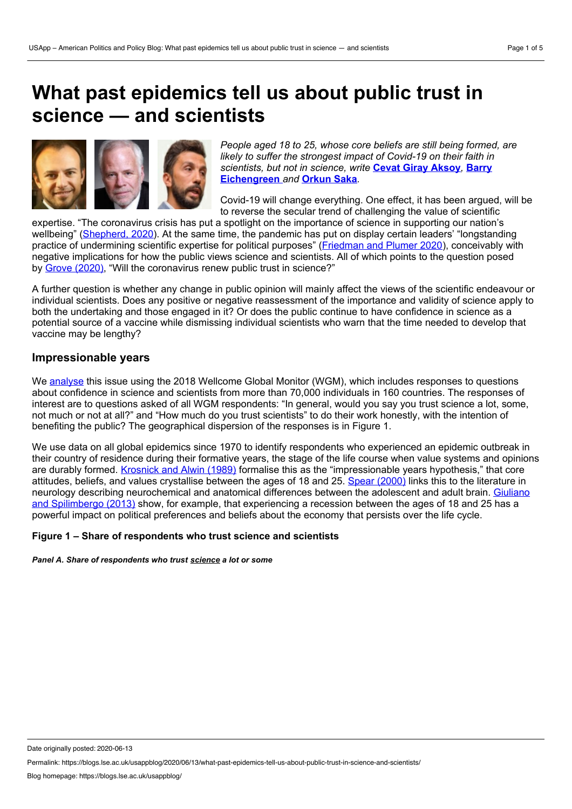# **What past epidemics tell us about public trust in science — and scientists**



*People aged 18 to 25, whose core beliefs are still being formed, are likely to suffer the strongest impact of Covid-19 on their faith in scientists, but not in science, write* **Cevat Giray [Aksoy](https://wp.me/p3I2YF-a24#Author)***,* **Barry [Eichengreen](https://wp.me/p3I2YF-a24#Author)** *and* **[Orkun](https://wp.me/p3I2YF-a24#Author) Saka***.*

Covid-19 will change everything. One effect, it has been argued, will be to reverse the secular trend of challenging the value of scientific

expertise. "The coronavirus crisis has put a spotlight on the importance of science in supporting our nation's wellbeing" [\(Shepherd,](https://www.forbes.com/sites/marshallshepherd/2020/03/14/covid-19-and-the-sudden-respect-of-science-expertise/#7a34292e29b0) 2020). At the same time, the pandemic has put on display certain leaders' "longstanding practice of undermining scientific expertise for political purposes" ([Friedman](https://www.nytimes.com/2020/04/28/climate/trump-coronavirus-climate-science.html) and Plumer 2020), conceivably with negative implications for how the public views science and scientists. All of which points to the question posed by Grove [\(2020\),](https://www.timeshighereducation.com/news/will-coronavirus-crisis-renew-public-trust-science) "Will the coronavirus renew public trust in science?"

A further question is whether any change in public opinion will mainly affect the views of the scientific endeavour or individual scientists. Does any positive or negative reassessment of the importance and validity of science apply to both the undertaking and those engaged in it? Or does the public continue to have confidence in science as a potential source of a vaccine while dismissing individual scientists who warn that the time needed to develop that vaccine may be lengthy?

## **Impressionable years**

We [analyse](http://www.systemicrisk.ac.uk/publications/discussion-papers/revenge-experts-will-covid-19-renew-or-diminish-public-trust-science) this issue using the 2018 Wellcome Global Monitor (WGM), which includes responses to questions about confidence in science and scientists from more than 70,000 individuals in 160 countries. The responses of interest are to questions asked of all WGM respondents: "In general, would you say you trust science a lot, some, not much or not at all?" and "How much do you trust scientists" to do their work honestly, with the intention of benefiting the public? The geographical dispersion of the responses is in Figure 1.

We use data on all global epidemics since 1970 to identify respondents who experienced an epidemic outbreak in their country of residence during their formative years, the stage of the life course when value systems and opinions are durably formed. [Krosnick](https://insights.ovid.com/jpspy/198909000/00005205-198909000-00005) and Alwin (1989) formalise this as the "impressionable years hypothesis," that core attitudes, beliefs, and values crystallise between the ages of 18 and 25. Spear [\(2000\)](https://journals.sagepub.com/doi/abs/10.1111/1467-8721.00072) links this to the literature in neurology describing [neurochemical](https://doi.org/10.1093/restud/rdt040) and anatomical differences between the adolescent and adult brain. Giuliano and Spilimbergo (2013) show, for example, that experiencing a recession between the ages of 18 and 25 has a powerful impact on political preferences and beliefs about the economy that persists over the life cycle.

#### **Figure 1 – Share of respondents who trust science and scientists**

*Panel A. Share of respondents who trust science a lot or some*

Date originally posted: 2020-06-13

Permalink: https://blogs.lse.ac.uk/usappblog/2020/06/13/what-past-epidemics-tell-us-about-public-trust-in-science-and-scientists/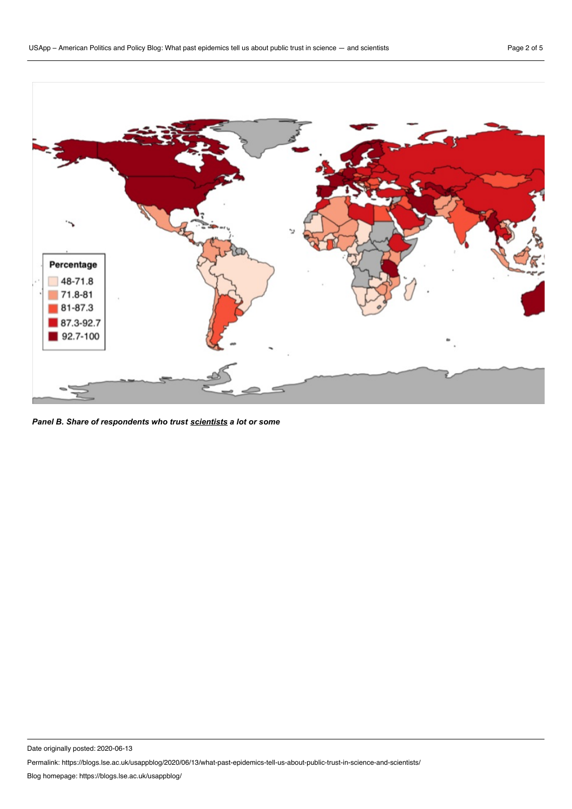

*Panel B. Share of respondents who trust scientists a lot or some*

Date originally posted: 2020-06-13

Permalink: https://blogs.lse.ac.uk/usappblog/2020/06/13/what-past-epidemics-tell-us-about-public-trust-in-science-and-scientists/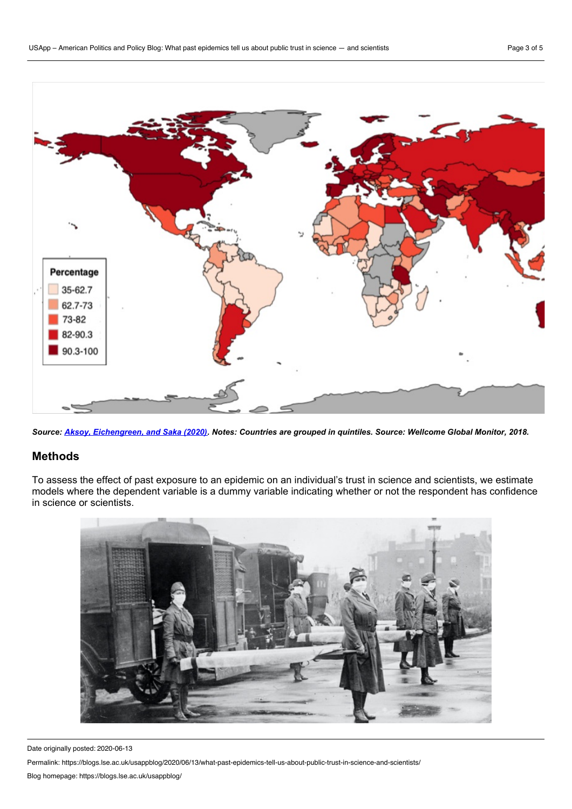

Source: Aksoy, [Eichengreen,](http://www.systemicrisk.ac.uk/publications/discussion-papers/revenge-experts-will-covid-19-renew-or-diminish-public-trust-science) and Saka (2020). Notes: Countries are grouped in quintiles. Source: Wellcome Global Monitor, 2018.

#### **Methods**

To assess the effect of past exposure to an epidemic on an individual's trust in science and scientists, we estimate models where the dependent variable is a dummy variable indicating whether or not the respondent has confidence in science or scientists.



Date originally posted: 2020-06-13

Permalink: https://blogs.lse.ac.uk/usappblog/2020/06/13/what-past-epidemics-tell-us-about-public-trust-in-science-and-scientists/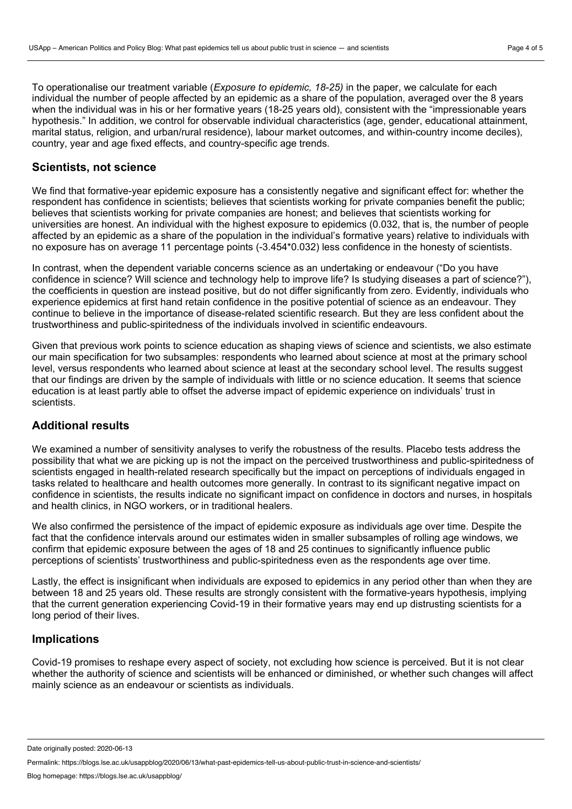To operationalise our treatment variable (*Exposure to epidemic, 18-25)* in the paper, we calculate for each individual the number of people affected by an epidemic as a share of the population, averaged over the 8 years when the individual was in his or her formative years (18-25 years old), consistent with the "impressionable years hypothesis." In addition, we control for observable individual characteristics (age, gender, educational attainment, marital status, religion, and urban/rural residence), labour market outcomes, and within-country income deciles), country, year and age fixed effects, and country-specific age trends.

## **Scientists, not science**

We find that formative-year epidemic exposure has a consistently negative and significant effect for: whether the respondent has confidence in scientists; believes that scientists working for private companies benefit the public; believes that scientists working for private companies are honest; and believes that scientists working for universities are honest. An individual with the highest exposure to epidemics (0.032, that is, the number of people affected by an epidemic as a share of the population in the individual's formative years) relative to individuals with no exposure has on average 11 percentage points (-3.454\*0.032) less confidence in the honesty of scientists.

In contrast, when the dependent variable concerns science as an undertaking or endeavour ("Do you have confidence in science? Will science and technology help to improve life? Is studying diseases a part of science?"), the coefficients in question are instead positive, but do not differ significantly from zero. Evidently, individuals who experience epidemics at first hand retain confidence in the positive potential of science as an endeavour. They continue to believe in the importance of disease-related scientific research. But they are less confident about the trustworthiness and public-spiritedness of the individuals involved in scientific endeavours.

Given that previous work points to science education as shaping views of science and scientists, we also estimate our main specification for two subsamples: respondents who learned about science at most at the primary school level, versus respondents who learned about science at least at the secondary school level. The results suggest that our findings are driven by the sample of individuals with little or no science education. It seems that science education is at least partly able to offset the adverse impact of epidemic experience on individuals' trust in scientists.

## **Additional results**

We examined a number of sensitivity analyses to verify the robustness of the results. Placebo tests address the possibility that what we are picking up is not the impact on the perceived trustworthiness and public-spiritedness of scientists engaged in health-related research specifically but the impact on perceptions of individuals engaged in tasks related to healthcare and health outcomes more generally. In contrast to its significant negative impact on confidence in scientists, the results indicate no significant impact on confidence in doctors and nurses, in hospitals and health clinics, in NGO workers, or in traditional healers.

We also confirmed the persistence of the impact of epidemic exposure as individuals age over time. Despite the fact that the confidence intervals around our estimates widen in smaller subsamples of rolling age windows, we confirm that epidemic exposure between the ages of 18 and 25 continues to significantly influence public perceptions of scientists' trustworthiness and public-spiritedness even as the respondents age over time.

Lastly, the effect is insignificant when individuals are exposed to epidemics in any period other than when they are between 18 and 25 years old. These results are strongly consistent with the formative-years hypothesis, implying that the current generation experiencing Covid-19 in their formative years may end up distrusting scientists for a long period of their lives.

#### **Implications**

Covid-19 promises to reshape every aspect of society, not excluding how science is perceived. But it is not clear whether the authority of science and scientists will be enhanced or diminished, or whether such changes will affect mainly science as an endeavour or scientists as individuals.

Date originally posted: 2020-06-13

Permalink: https://blogs.lse.ac.uk/usappblog/2020/06/13/what-past-epidemics-tell-us-about-public-trust-in-science-and-scientists/